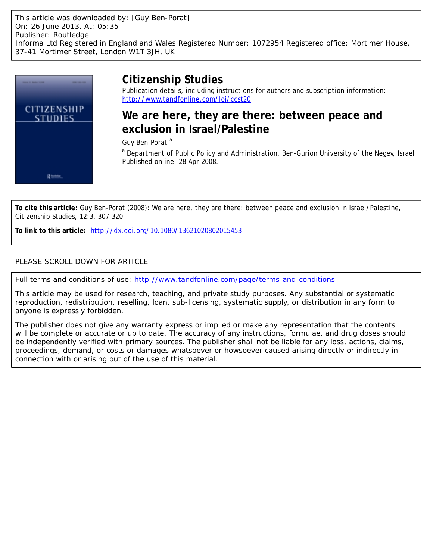This article was downloaded by: [Guy Ben-Porat] On: 26 June 2013, At: 05:35 Publisher: Routledge Informa Ltd Registered in England and Wales Registered Number: 1072954 Registered office: Mortimer House, 37-41 Mortimer Street, London W1T 3JH, UK



# **Citizenship Studies**

Publication details, including instructions for authors and subscription information: <http://www.tandfonline.com/loi/ccst20>

# **We are here, they are there: between peace and exclusion in Israel/Palestine**

Guy Ben-Porat<sup>a</sup>

<sup>a</sup> Department of Public Policy and Administration, Ben-Gurion University of the Negev, Israel Published online: 28 Apr 2008.

**To cite this article:** Guy Ben-Porat (2008): We are here, they are there: between peace and exclusion in Israel/Palestine, Citizenship Studies, 12:3, 307-320

**To link to this article:** <http://dx.doi.org/10.1080/13621020802015453>

# PLEASE SCROLL DOWN FOR ARTICLE

Full terms and conditions of use:<http://www.tandfonline.com/page/terms-and-conditions>

This article may be used for research, teaching, and private study purposes. Any substantial or systematic reproduction, redistribution, reselling, loan, sub-licensing, systematic supply, or distribution in any form to anyone is expressly forbidden.

The publisher does not give any warranty express or implied or make any representation that the contents will be complete or accurate or up to date. The accuracy of any instructions, formulae, and drug doses should be independently verified with primary sources. The publisher shall not be liable for any loss, actions, claims, proceedings, demand, or costs or damages whatsoever or howsoever caused arising directly or indirectly in connection with or arising out of the use of this material.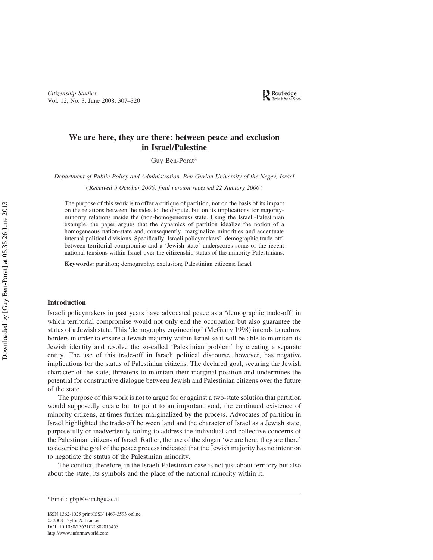

# We are here, they are there: between peace and exclusion in Israel/Palestine

Guy Ben-Porat\*

Department of Public Policy and Administration, Ben-Gurion University of the Negev, Israel

( Received 9 October 2006; final version received 22 January 2006 )

The purpose of this work is to offer a critique of partition, not on the basis of its impact on the relations between the sides to the dispute, but on its implications for majorityminority relations inside the (non-homogeneous) state. Using the Israeli-Palestinian example, the paper argues that the dynamics of partition idealize the notion of a homogeneous nation-state and, consequently, marginalize minorities and accentuate internal political divisions. Specifically, Israeli policymakers' 'demographic trade-off' between territorial compromise and a 'Jewish state' underscores some of the recent national tensions within Israel over the citizenship status of the minority Palestinians.

Keywords: partition; demography; exclusion; Palestinian citizens; Israel

# Introduction

Israeli policymakers in past years have advocated peace as a 'demographic trade-off' in which territorial compromise would not only end the occupation but also guarantee the status of a Jewish state. This 'demography engineering' (McGarry 1998) intends to redraw borders in order to ensure a Jewish majority within Israel so it will be able to maintain its Jewish identity and resolve the so-called 'Palestinian problem' by creating a separate entity. The use of this trade-off in Israeli political discourse, however, has negative implications for the status of Palestinian citizens. The declared goal, securing the Jewish character of the state, threatens to maintain their marginal position and undermines the potential for constructive dialogue between Jewish and Palestinian citizens over the future of the state.

The purpose of this work is not to argue for or against a two-state solution that partition would supposedly create but to point to an important void, the continued existence of minority citizens, at times further marginalized by the process. Advocates of partition in Israel highlighted the trade-off between land and the character of Israel as a Jewish state, purposefully or inadvertently failing to address the individual and collective concerns of the Palestinian citizens of Israel. Rather, the use of the slogan 'we are here, they are there' to describe the goal of the peace process indicated that the Jewish majority has no intention to negotiate the status of the Palestinian minority.

The conflict, therefore, in the Israeli-Palestinian case is not just about territory but also about the state, its symbols and the place of the national minority within it.

<sup>\*</sup>Email: gbp@som.bgu.ac.il

ISSN 1362-1025 print/ISSN 1469-3593 online  $©$  2008 Taylor & Francis DOI: 10.1080/13621020802015453 http://www.informaworld.com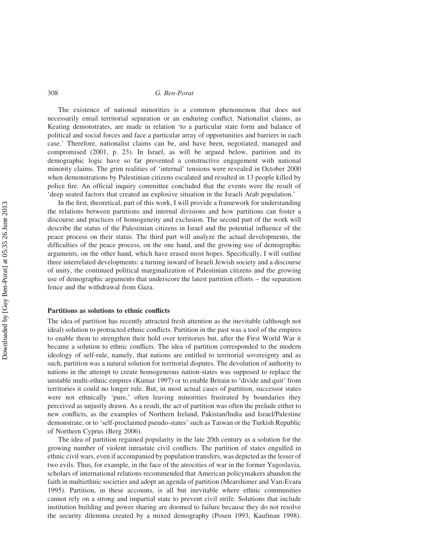The existence of national minorities is a common phenomenon that does not necessarily entail territorial separation or an enduring conflict. Nationalist claims, as Keating demonstrates, are made in relation 'to a particular state form and balance of political and social forces and face a particular array of opportunities and barriers in each case.' Therefore, nationalist claims can be, and have been, negotiated, managed and compromised (2001, p. 23). In Israel, as will be argued below, partition and its demographic logic have so far prevented a constructive engagement with national minority claims. The grim realities of 'internal' tensions were revealed in October 2000 when demonstrations by Palestinian citizens escalated and resulted in 13 people killed by police fire. An official inquiry committee concluded that the events were the result of 'deep seated factors that created an explosive situation in the Israeli Arab population.'

In the first, theoretical, part of this work, I will provide a framework for understanding the relations between partitions and internal divisions and how partitions can foster a discourse and practices of homogeneity and exclusion. The second part of the work will describe the status of the Palestinian citizens in Israel and the potential influence of the peace process on their status. The third part will analyze the actual developments, the difficulties of the peace process, on the one hand, and the growing use of demographic arguments, on the other hand, which have erased most hopes. Specifically, I will outline three interrelated developments: a turning inward of Israeli Jewish society and a discourse of unity, the continued political marginalization of Palestinian citizens and the growing use of demographic arguments that underscore the latest partition efforts – the separation fence and the withdrawal from Gaza.

# Partitions as solutions to ethnic conflicts

The idea of partition has recently attracted fresh attention as the inevitable (although not ideal) solution to protracted ethnic conflicts. Partition in the past was a tool of the empires to enable them to strengthen their hold over territories but, after the First World War it became a solution to ethnic conflicts. The idea of partition corresponded to the modern ideology of self-rule, namely, that nations are entitled to territorial sovereignty and as such, partition was a natural solution for territorial disputes. The devolution of authority to nations in the attempt to create homogeneous nation-states was supposed to replace the unstable multi-ethnic empires (Kumar 1997) or to enable Britain to 'divide and quit' from territories it could no longer rule. But, in most actual cases of partition, successor states were not ethnically 'pure,' often leaving minorities frustrated by boundaries they perceived as unjustly drawn. As a result, the act of partition was often the prelude either to new conflicts, as the examples of Northern Ireland, Pakistan/India and Israel/Palestine demonstrate, or to 'self-proclaimed pseudo-states' such as Taiwan or the Turkish Republic of Northern Cyprus (Berg 2006).

The idea of partition regained popularity in the late 20th century as a solution for the growing number of violent intrastate civil conflicts. The partition of states engulfed in ethnic civil wars, even if accompanied by population transfers, was depicted as the lesser of two evils. Thus, for example, in the face of the atrocities of war in the former Yugoslavia, scholars of international relations recommended that American policymakers abandon the faith in multiethnic societies and adopt an agenda of partition (Mearshimer and Van-Evara 1995). Partition, in these accounts, is all but inevitable where ethnic communities cannot rely on a strong and impartial state to prevent civil strife. Solutions that include institution building and power sharing are doomed to failure because they do not resolve the security dilemma created by a mixed demography (Posen 1993, Kaufman 1998).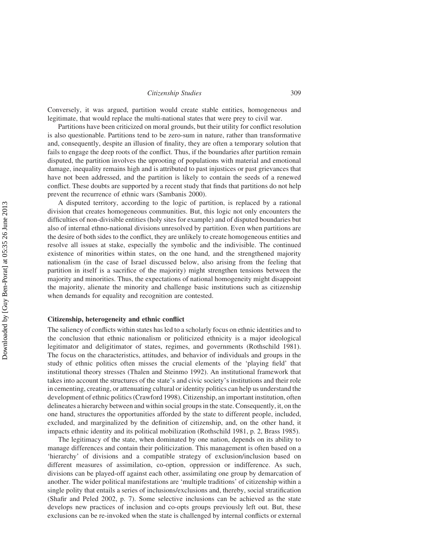Citizenship Studies 309

Conversely, it was argued, partition would create stable entities, homogeneous and legitimate, that would replace the multi-national states that were prey to civil war.

Partitions have been criticized on moral grounds, but their utility for conflict resolution is also questionable. Partitions tend to be zero-sum in nature, rather than transformative and, consequently, despite an illusion of finality, they are often a temporary solution that fails to engage the deep roots of the conflict. Thus, if the boundaries after partition remain disputed, the partition involves the uprooting of populations with material and emotional damage, inequality remains high and is attributed to past injustices or past grievances that have not been addressed, and the partition is likely to contain the seeds of a renewed conflict. These doubts are supported by a recent study that finds that partitions do not help prevent the recurrence of ethnic wars (Sambanis 2000).

A disputed territory, according to the logic of partition, is replaced by a rational division that creates homogeneous communities. But, this logic not only encounters the difficulties of non-divisible entities (holy sites for example) and of disputed boundaries but also of internal ethno-national divisions unresolved by partition. Even when partitions are the desire of both sides to the conflict, they are unlikely to create homogeneous entities and resolve all issues at stake, especially the symbolic and the indivisible. The continued existence of minorities within states, on the one hand, and the strengthened majority nationalism (in the case of Israel discussed below, also arising from the feeling that partition in itself is a sacrifice of the majority) might strengthen tensions between the majority and minorities. Thus, the expectations of national homogeneity might disappoint the majority, alienate the minority and challenge basic institutions such as citizenship when demands for equality and recognition are contested.

### Citizenship, heterogeneity and ethnic conflict

The saliency of conflicts within states has led to a scholarly focus on ethnic identities and to the conclusion that ethnic nationalism or politicized ethnicity is a major ideological legitimator and deligitimator of states, regimes, and governments (Rothschild 1981). The focus on the characteristics, attitudes, and behavior of individuals and groups in the study of ethnic politics often misses the crucial elements of the 'playing field' that institutional theory stresses (Thalen and Steinmo 1992). An institutional framework that takes into account the structures of the state's and civic society's institutions and their role in cementing, creating, or attenuating cultural or identity politics can help us understand the development of ethnic politics (Crawford 1998). Citizenship, an important institution, often delineates a hierarchy between and within social groups in the state. Consequently, it, on the one hand, structures the opportunities afforded by the state to different people, included, excluded, and marginalized by the definition of citizenship, and, on the other hand, it impacts ethnic identity and its political mobilization (Rothschild 1981, p. 2, Brass 1985).

The legitimacy of the state, when dominated by one nation, depends on its ability to manage differences and contain their politicization. This management is often based on a 'hierarchy' of divisions and a compatible strategy of exclusion/inclusion based on different measures of assimilation, co-option, oppression or indifference. As such, divisions can be played-off against each other, assimilating one group by demarcation of another. The wider political manifestations are 'multiple traditions' of citizenship within a single polity that entails a series of inclusions/exclusions and, thereby, social stratification (Shafir and Peled 2002, p. 7). Some selective inclusions can be achieved as the state develops new practices of inclusion and co-opts groups previously left out. But, these exclusions can be re-invoked when the state is challenged by internal conflicts or external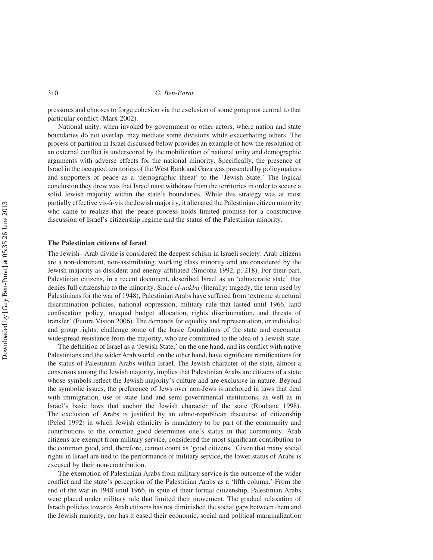pressures and chooses to forge cohesion via the exclusion of some group not central to that particular conflict (Marx 2002).

National unity, when invoked by government or other actors, where nation and state boundaries do not overlap, may mediate some divisions while exacerbating others. The process of partition in Israel discussed below provides an example of how the resolution of an external conflict is underscored by the mobilization of national unity and demographic arguments with adverse effects for the national minority. Specifically, the presence of Israel in the occupied territories of the West Bank and Gaza was presented by policymakers and supporters of peace as a 'demographic threat' to the 'Jewish State.' The logical conclusion they drew was that Israel must withdraw from the territories in order to secure a solid Jewish majority within the state's boundaries. While this strategy was at most partially effective vis-a`-vis the Jewish majority, it alienated the Palestinian citizen minority who came to realize that the peace process holds limited promise for a constructive discussion of Israel's citizenship regime and the status of the Palestinian minority.

#### The Palestinian citizens of Israel

The Jewish –Arab divide is considered the deepest schism in Israeli society. Arab citizens are a non-dominant, non-assimilating, working class minority and are considered by the Jewish majority as dissident and enemy-affiliated (Smooha 1992, p. 218). For their part, Palestinian citizens, in a recent document, described Israel as an 'ethnocratic state' that denies full citizenship to the minority. Since *el-nakba* (literally: tragedy, the term used by Palestinians for the war of 1948), Palestinian Arabs have suffered from 'extreme structural discrimination policies, national oppression, military rule that lasted until 1966, land confiscation policy, unequal budget allocation, rights discrimination, and threats of transfer' (Future Vision 2006). The demands for equality and representation, or individual and group rights, challenge some of the basic foundations of the state and encounter widespread resistance from the majority, who are committed to the idea of a Jewish state.

The definition of Israel as a 'Jewish State,' on the one hand, and its conflict with native Palestinians and the wider Arab world, on the other hand, have significant ramifications for the status of Palestinian Arabs within Israel. The Jewish character of the state, almost a consensus among the Jewish majority, implies that Palestinian Arabs are citizens of a state whose symbols reflect the Jewish majority's culture and are exclusive in nature. Beyond the symbolic issues, the preference of Jews over non-Jews is anchored in laws that deal with immigration, use of state land and semi-governmental institutions, as well as in Israel's basic laws that anchor the Jewish character of the state (Rouhana 1998). The exclusion of Arabs is justified by an ethno-republican discourse of citizenship (Peled 1992) in which Jewish ethnicity is mandatory to be part of the community and contributions to the common good determines one's status in that community. Arab citizens are exempt from military service, considered the most significant contribution to the common good, and, therefore, cannot count as 'good citizens.' Given that many social rights in Israel are tied to the performance of military service, the lower status of Arabs is excused by their non-contribution.

The exemption of Palestinian Arabs from military service is the outcome of the wider conflict and the state's perception of the Palestinian Arabs as a 'fifth column.' From the end of the war in 1948 until 1966, in spite of their formal citizenship, Palestinian Arabs were placed under military rule that limited their movement. The gradual relaxation of Israeli policies towards Arab citizens has not diminished the social gaps between them and the Jewish majority, nor has it eased their economic, social and political marginalization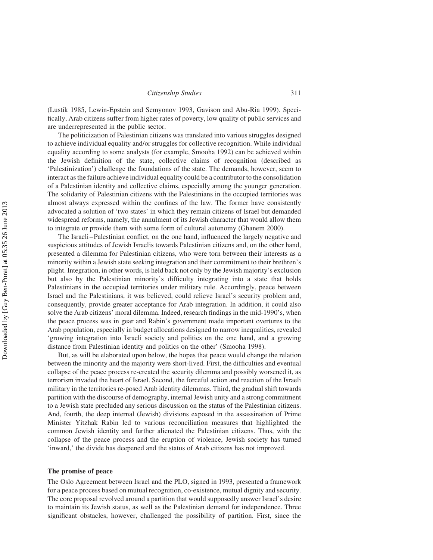(Lustik 1985, Lewin-Epstein and Semyonov 1993, Gavison and Abu-Ria 1999). Specifically, Arab citizens suffer from higher rates of poverty, low quality of public services and are underrepresented in the public sector.

The politicization of Palestinian citizens was translated into various struggles designed to achieve individual equality and/or struggles for collective recognition. While individual equality according to some analysts (for example, Smooha 1992) can be achieved within the Jewish definition of the state, collective claims of recognition (described as 'Palestinization') challenge the foundations of the state. The demands, however, seem to interact as the failure achieve individual equality could be a contributor to the consolidation of a Palestinian identity and collective claims, especially among the younger generation. The solidarity of Palestinian citizens with the Palestinians in the occupied territories was almost always expressed within the confines of the law. The former have consistently advocated a solution of 'two states' in which they remain citizens of Israel but demanded widespread reforms, namely, the annulment of its Jewish character that would allow them to integrate or provide them with some form of cultural autonomy (Ghanem 2000).

The Israeli –Palestinian conflict, on the one hand, influenced the largely negative and suspicious attitudes of Jewish Israelis towards Palestinian citizens and, on the other hand, presented a dilemma for Palestinian citizens, who were torn between their interests as a minority within a Jewish state seeking integration and their commitment to their brethren's plight. Integration, in other words, is held back not only by the Jewish majority's exclusion but also by the Palestinian minority's difficulty integrating into a state that holds Palestinians in the occupied territories under military rule. Accordingly, peace between Israel and the Palestinians, it was believed, could relieve Israel's security problem and, consequently, provide greater acceptance for Arab integration. In addition, it could also solve the Arab citizens' moral dilemma. Indeed, research findings in the mid-1990's, when the peace process was in gear and Rabin's government made important overtures to the Arab population, especially in budget allocations designed to narrow inequalities, revealed 'growing integration into Israeli society and politics on the one hand, and a growing distance from Palestinian identity and politics on the other' (Smooha 1998).

But, as will be elaborated upon below, the hopes that peace would change the relation between the minority and the majority were short-lived. First, the difficulties and eventual collapse of the peace process re-created the security dilemma and possibly worsened it, as terrorism invaded the heart of Israel. Second, the forceful action and reaction of the Israeli military in the territories re-posed Arab identity dilemmas. Third, the gradual shift towards partition with the discourse of demography, internal Jewish unity and a strong commitment to a Jewish state precluded any serious discussion on the status of the Palestinian citizens. And, fourth, the deep internal (Jewish) divisions exposed in the assassination of Prime Minister Yitzhak Rabin led to various reconciliation measures that highlighted the common Jewish identity and further alienated the Palestinian citizens. Thus, with the collapse of the peace process and the eruption of violence, Jewish society has turned 'inward,' the divide has deepened and the status of Arab citizens has not improved.

#### The promise of peace

The Oslo Agreement between Israel and the PLO, signed in 1993, presented a framework for a peace process based on mutual recognition, co-existence, mutual dignity and security. The core proposal revolved around a partition that would supposedly answer Israel's desire to maintain its Jewish status, as well as the Palestinian demand for independence. Three significant obstacles, however, challenged the possibility of partition. First, since the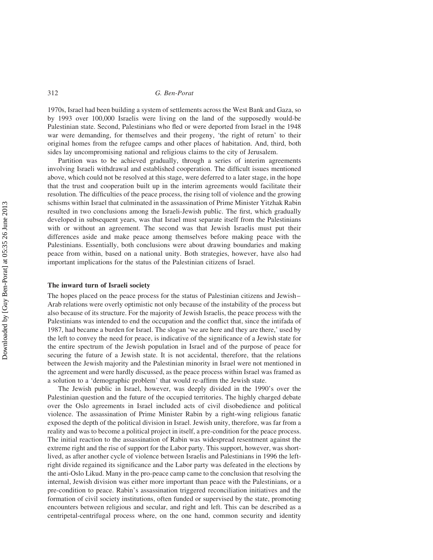1970s, Israel had been building a system of settlements across the West Bank and Gaza, so by 1993 over 100,000 Israelis were living on the land of the supposedly would-be Palestinian state. Second, Palestinians who fled or were deported from Israel in the 1948 war were demanding, for themselves and their progeny, 'the right of return' to their original homes from the refugee camps and other places of habitation. And, third, both sides lay uncompromising national and religious claims to the city of Jerusalem.

Partition was to be achieved gradually, through a series of interim agreements involving Israeli withdrawal and established cooperation. The difficult issues mentioned above, which could not be resolved at this stage, were deferred to a later stage, in the hope that the trust and cooperation built up in the interim agreements would facilitate their resolution. The difficulties of the peace process, the rising toll of violence and the growing schisms within Israel that culminated in the assassination of Prime Minister Yitzhak Rabin resulted in two conclusions among the Israeli-Jewish public. The first, which gradually developed in subsequent years, was that Israel must separate itself from the Palestinians with or without an agreement. The second was that Jewish Israelis must put their differences aside and make peace among themselves before making peace with the Palestinians. Essentially, both conclusions were about drawing boundaries and making peace from within, based on a national unity. Both strategies, however, have also had important implications for the status of the Palestinian citizens of Israel.

#### The inward turn of Israeli society

The hopes placed on the peace process for the status of Palestinian citizens and Jewish – Arab relations were overly optimistic not only because of the instability of the process but also because of its structure. For the majority of Jewish Israelis, the peace process with the Palestinians was intended to end the occupation and the conflict that, since the intifada of 1987, had became a burden for Israel. The slogan 'we are here and they are there,' used by the left to convey the need for peace, is indicative of the significance of a Jewish state for the entire spectrum of the Jewish population in Israel and of the purpose of peace for securing the future of a Jewish state. It is not accidental, therefore, that the relations between the Jewish majority and the Palestinian minority in Israel were not mentioned in the agreement and were hardly discussed, as the peace process within Israel was framed as a solution to a 'demographic problem' that would re-affirm the Jewish state.

The Jewish public in Israel, however, was deeply divided in the 1990's over the Palestinian question and the future of the occupied territories. The highly charged debate over the Oslo agreements in Israel included acts of civil disobedience and political violence. The assassination of Prime Minister Rabin by a right-wing religious fanatic exposed the depth of the political division in Israel. Jewish unity, therefore, was far from a reality and was to become a political project in itself, a pre-condition for the peace process. The initial reaction to the assassination of Rabin was widespread resentment against the extreme right and the rise of support for the Labor party. This support, however, was shortlived, as after another cycle of violence between Israelis and Palestinians in 1996 the leftright divide regained its significance and the Labor party was defeated in the elections by the anti-Oslo Likud. Many in the pro-peace camp came to the conclusion that resolving the internal, Jewish division was either more important than peace with the Palestinians, or a pre-condition to peace. Rabin's assassination triggered reconciliation initiatives and the formation of civil society institutions, often funded or supervised by the state, promoting encounters between religious and secular, and right and left. This can be described as a centripetal-centrifugal process where, on the one hand, common security and identity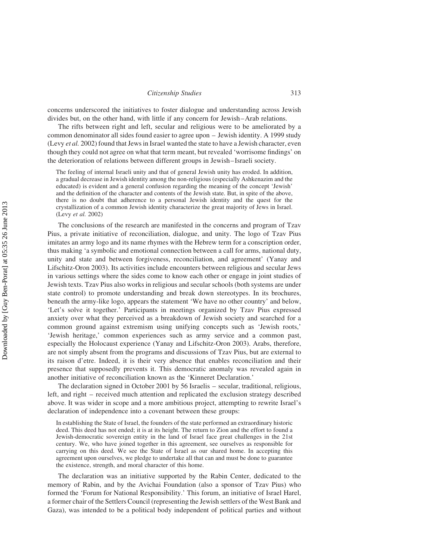concerns underscored the initiatives to foster dialogue and understanding across Jewish divides but, on the other hand, with little if any concern for Jewish –Arab relations.

The rifts between right and left, secular and religious were to be ameliorated by a common denominator all sides found easier to agree upon – Jewish identity. A 1999 study (Levy *et al.* 2002) found that Jews in Israel wanted the state to have a Jewish character, even though they could not agree on what that term meant, but revealed 'worrisome findings' on the deterioration of relations between different groups in Jewish – Israeli society.

The feeling of internal Israeli unity and that of general Jewish unity has eroded. In addition, a gradual decrease in Jewish identity among the non-religious (especially Ashkenazim and the educated) is evident and a general confusion regarding the meaning of the concept 'Jewish' and the definition of the character and contents of the Jewish state. But, in spite of the above, there is no doubt that adherence to a personal Jewish identity and the quest for the crystallization of a common Jewish identity characterize the great majority of Jews in Israel. (Levy et al. 2002)

The conclusions of the research are manifested in the concerns and program of Tzav Pius, a private initiative of reconciliation, dialogue, and unity. The logo of Tzav Pius imitates an army logo and its name rhymes with the Hebrew term for a conscription order, thus making 'a symbolic and emotional connection between a call for arms, national duty, unity and state and between forgiveness, reconciliation, and agreement' (Yanay and Lifschitz-Oron 2003). Its activities include encounters between religious and secular Jews in various settings where the sides come to know each other or engage in joint studies of Jewish texts. Tzav Pius also works in religious and secular schools (both systems are under state control) to promote understanding and break down stereotypes. In its brochures, beneath the army-like logo, appears the statement 'We have no other country' and below, 'Let's solve it together.' Participants in meetings organized by Tzav Pius expressed anxiety over what they perceived as a breakdown of Jewish society and searched for a common ground against extremism using unifying concepts such as 'Jewish roots,' 'Jewish heritage,' common experiences such as army service and a common past, especially the Holocaust experience (Yanay and Lifschitz-Oron 2003). Arabs, therefore, are not simply absent from the programs and discussions of Tzav Pius, but are external to its raison d'etre. Indeed, it is their very absence that enables reconciliation and their presence that supposedly prevents it. This democratic anomaly was revealed again in another initiative of reconciliation known as the 'Kinneret Declaration.'

The declaration signed in October 2001 by 56 Israelis – secular, traditional, religious, left, and right – received much attention and replicated the exclusion strategy described above. It was wider in scope and a more ambitious project, attempting to rewrite Israel's declaration of independence into a covenant between these groups:

In establishing the State of Israel, the founders of the state performed an extraordinary historic deed. This deed has not ended; it is at its height. The return to Zion and the effort to found a Jewish-democratic sovereign entity in the land of Israel face great challenges in the 21st century. We, who have joined together in this agreement, see ourselves as responsible for carrying on this deed. We see the State of Israel as our shared home. In accepting this agreement upon ourselves, we pledge to undertake all that can and must be done to guarantee the existence, strength, and moral character of this home.

The declaration was an initiative supported by the Rabin Center, dedicated to the memory of Rabin, and by the Avichai Foundation (also a sponsor of Tzav Pius) who formed the 'Forum for National Responsibility.' This forum, an initiative of Israel Harel, a former chair of the Settlers Council (representing the Jewish settlers of the West Bank and Gaza), was intended to be a political body independent of political parties and without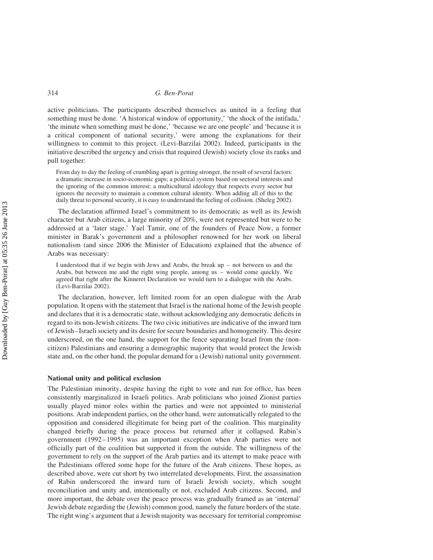active politicians. The participants described themselves as united in a feeling that something must be done. 'A historical window of opportunity,' 'the shock of the intifada,' 'the minute when something must be done,' 'because we are one people' and 'because it is a critical component of national security,' were among the explanations for their willingness to commit to this project. (Levi-Barzilai 2002). Indeed, participants in the initiative described the urgency and crisis that required (Jewish) society close its ranks and pull together:

From day to day the feeling of crumbling apart is getting stronger, the result of several factors: a dramatic increase in socio-economic gaps; a political system based on sectoral interests and the ignoring of the common interest; a multicultural ideology that respects every sector but ignores the necessity to maintain a common cultural identity. When adding all of this to the daily threat to personal security, it is easy to understand the feeling of collision. (Sheleg 2002).

The declaration affirmed Israel's commitment to its democratic as well as its Jewish character but Arab citizens, a large minority of 20%, were not represented but were to be addressed at a 'later stage.' Yael Tamir, one of the founders of Peace Now, a former minister in Barak's government and a philosopher renowned for her work on liberal nationalism (and since 2006 the Minister of Education) explained that the absence of Arabs was necessary:

I understood that if we begin with Jews and Arabs, the break up – not between us and the Arabs, but between me and the right wing people, among us – would come quickly. We agreed that right after the Kinneret Declaration we would turn to a dialogue with the Arabs. (Levi-Barzilai 2002).

The declaration, however, left limited room for an open dialogue with the Arab population. It opens with the statement that Israel is the national home of the Jewish people and declares that it is a democratic state, without acknowledging any democratic deficits in regard to its non-Jewish citizens. The two civic initiatives are indicative of the inward turn of Jewish – Israeli society and its desire for secure boundaries and homogeneity. This desire underscored, on the one hand, the support for the fence separating Israel from the (noncitizen) Palestinians and ensuring a demographic majority that would protect the Jewish state and, on the other hand, the popular demand for a (Jewish) national unity government.

#### National unity and political exclusion

The Palestinian minority, despite having the right to vote and run for office, has been consistently marginalized in Israeli politics. Arab politicians who joined Zionist parties usually played minor roles within the parties and were not appointed to ministerial positions. Arab independent parties, on the other hand, were automatically relegated to the opposition and considered illegitimate for being part of the coalition. This marginality changed briefly during the peace process but returned after it collapsed. Rabin's government (1992 –1995) was an important exception when Arab parties were not officially part of the coalition but supported it from the outside. The willingness of the government to rely on the support of the Arab parties and its attempt to make peace with the Palestinians offered some hope for the future of the Arab citizens. These hopes, as described above, were cut short by two interrelated developments. First, the assassination of Rabin underscored the inward turn of Israeli Jewish society, which sought reconciliation and unity and, intentionally or not, excluded Arab citizens. Second, and more important, the debate over the peace process was gradually framed as an 'internal' Jewish debate regarding the (Jewish) common good, namely the future borders of the state. The right wing's argument that a Jewish majority was necessary for territorial compromise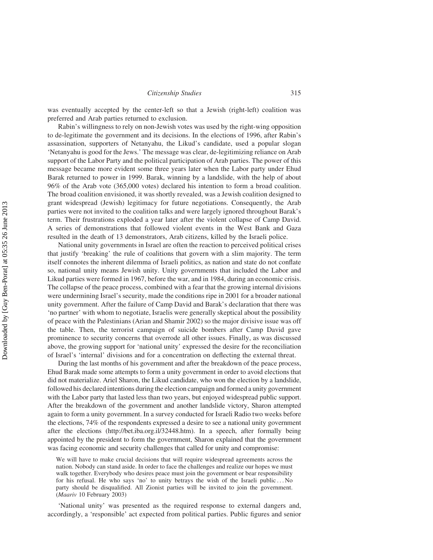was eventually accepted by the center-left so that a Jewish (right-left) coalition was preferred and Arab parties returned to exclusion.

Rabin's willingness to rely on non-Jewish votes was used by the right-wing opposition to de-legitimate the government and its decisions. In the elections of 1996, after Rabin's assassination, supporters of Netanyahu, the Likud's candidate, used a popular slogan 'Netanyahu is good for the Jews.' The message was clear, de-legitimizing reliance on Arab support of the Labor Party and the political participation of Arab parties. The power of this message became more evident some three years later when the Labor party under Ehud Barak returned to power in 1999. Barak, winning by a landslide, with the help of about 96% of the Arab vote (365,000 votes) declared his intention to form a broad coalition. The broad coalition envisioned, it was shortly revealed, was a Jewish coalition designed to grant widespread (Jewish) legitimacy for future negotiations. Consequently, the Arab parties were not invited to the coalition talks and were largely ignored throughout Barak's term. Their frustrations exploded a year later after the violent collapse of Camp David. A series of demonstrations that followed violent events in the West Bank and Gaza resulted in the death of 13 demonstrators, Arab citizens, killed by the Israeli police.

National unity governments in Israel are often the reaction to perceived political crises that justify 'breaking' the rule of coalitions that govern with a slim majority. The term itself connotes the inherent dilemma of Israeli politics, as nation and state do not conflate so, national unity means Jewish unity. Unity governments that included the Labor and Likud parties were formed in 1967, before the war, and in 1984, during an economic crisis. The collapse of the peace process, combined with a fear that the growing internal divisions were undermining Israel's security, made the conditions ripe in 2001 for a broader national unity government. After the failure of Camp David and Barak's declaration that there was 'no partner' with whom to negotiate, Israelis were generally skeptical about the possibility of peace with the Palestinians (Arian and Shamir 2002) so the major divisive issue was off the table. Then, the terrorist campaign of suicide bombers after Camp David gave prominence to security concerns that overrode all other issues. Finally, as was discussed above, the growing support for 'national unity' expressed the desire for the reconciliation of Israel's 'internal' divisions and for a concentration on deflecting the external threat.

During the last months of his government and after the breakdown of the peace process, Ehud Barak made some attempts to form a unity government in order to avoid elections that did not materialize. Ariel Sharon, the Likud candidate, who won the election by a landslide, followed his declared intentions during the election campaign and formed a unity government with the Labor party that lasted less than two years, but enjoyed widespread public support. After the breakdown of the government and another landslide victory, Sharon attempted again to form a unity government. In a survey conducted for Israeli Radio two weeks before the elections, 74% of the respondents expressed a desire to see a national unity government after the elections (http://bet.iba.org.il/32448.htm). In a speech, after formally being appointed by the president to form the government, Sharon explained that the government was facing economic and security challenges that called for unity and compromise:

We will have to make crucial decisions that will require widespread agreements across the nation. Nobody can stand aside. In order to face the challenges and realize our hopes we must walk together. Everybody who desires peace must join the government or bear responsibility for his refusal. He who says 'no' to unity betrays the wish of the Israeli public ... No party should be disqualified. All Zionist parties will be invited to join the government. (Maariv 10 February 2003)

'National unity' was presented as the required response to external dangers and, accordingly, a 'responsible' act expected from political parties. Public figures and senior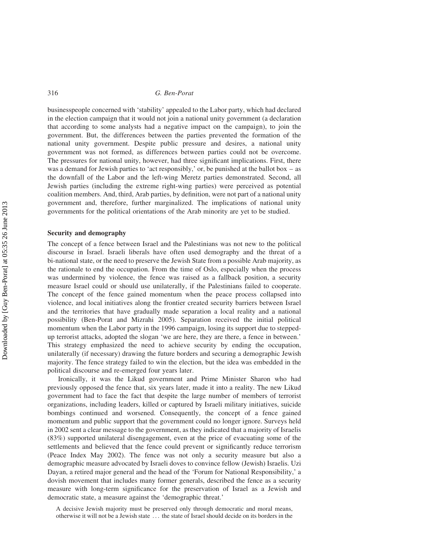businesspeople concerned with 'stability' appealed to the Labor party, which had declared in the election campaign that it would not join a national unity government (a declaration that according to some analysts had a negative impact on the campaign), to join the government. But, the differences between the parties prevented the formation of the national unity government. Despite public pressure and desires, a national unity government was not formed, as differences between parties could not be overcome. The pressures for national unity, however, had three significant implications. First, there was a demand for Jewish parties to 'act responsibly,' or, be punished at the ballot box – as the downfall of the Labor and the left-wing Meretz parties demonstrated. Second, all Jewish parties (including the extreme right-wing parties) were perceived as potential coalition members. And, third, Arab parties, by definition, were not part of a national unity government and, therefore, further marginalized. The implications of national unity governments for the political orientations of the Arab minority are yet to be studied.

### Security and demography

The concept of a fence between Israel and the Palestinians was not new to the political discourse in Israel. Israeli liberals have often used demography and the threat of a bi-national state, or the need to preserve the Jewish State from a possible Arab majority, as the rationale to end the occupation. From the time of Oslo, especially when the process was undermined by violence, the fence was raised as a fallback position, a security measure Israel could or should use unilaterally, if the Palestinians failed to cooperate. The concept of the fence gained momentum when the peace process collapsed into violence, and local initiatives along the frontier created security barriers between Israel and the territories that have gradually made separation a local reality and a national possibility (Ben-Porat and Mizrahi 2005). Separation received the initial political momentum when the Labor party in the 1996 campaign, losing its support due to steppedup terrorist attacks, adopted the slogan 'we are here, they are there, a fence in between.' This strategy emphasized the need to achieve security by ending the occupation, unilaterally (if necessary) drawing the future borders and securing a demographic Jewish majority. The fence strategy failed to win the election, but the idea was embedded in the political discourse and re-emerged four years later.

Ironically, it was the Likud government and Prime Minister Sharon who had previously opposed the fence that, six years later, made it into a reality. The new Likud government had to face the fact that despite the large number of members of terrorist organizations, including leaders, killed or captured by Israeli military initiatives, suicide bombings continued and worsened. Consequently, the concept of a fence gained momentum and public support that the government could no longer ignore. Surveys held in 2002 sent a clear message to the government, as they indicated that a majority of Israelis (83%) supported unilateral disengagement, even at the price of evacuating some of the settlements and believed that the fence could prevent or significantly reduce terrorism (Peace Index May 2002). The fence was not only a security measure but also a demographic measure advocated by Israeli doves to convince fellow (Jewish) Israelis. Uzi Dayan, a retired major general and the head of the 'Forum for National Responsibility,' a dovish movement that includes many former generals, described the fence as a security measure with long-term significance for the preservation of Israel as a Jewish and democratic state, a measure against the 'demographic threat.'

A decisive Jewish majority must be preserved only through democratic and moral means, otherwise it will not be a Jewish state ... the state of Israel should decide on its borders in the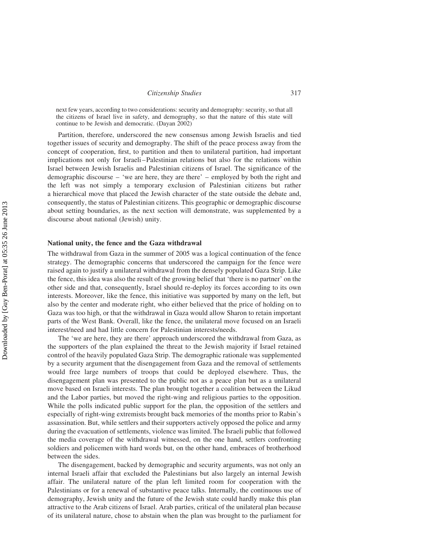next few years, according to two considerations: security and demography: security, so that all the citizens of Israel live in safety, and demography, so that the nature of this state will continue to be Jewish and democratic. (Dayan 2002)

Partition, therefore, underscored the new consensus among Jewish Israelis and tied together issues of security and demography. The shift of the peace process away from the concept of cooperation, first, to partition and then to unilateral partition, had important implications not only for Israeli –Palestinian relations but also for the relations within Israel between Jewish Israelis and Palestinian citizens of Israel. The significance of the demographic discourse – 'we are here, they are there' – employed by both the right and the left was not simply a temporary exclusion of Palestinian citizens but rather a hierarchical move that placed the Jewish character of the state outside the debate and, consequently, the status of Palestinian citizens. This geographic or demographic discourse about setting boundaries, as the next section will demonstrate, was supplemented by a discourse about national (Jewish) unity.

#### National unity, the fence and the Gaza withdrawal

The withdrawal from Gaza in the summer of 2005 was a logical continuation of the fence strategy. The demographic concerns that underscored the campaign for the fence were raised again to justify a unilateral withdrawal from the densely populated Gaza Strip. Like the fence, this idea was also the result of the growing belief that 'there is no partner' on the other side and that, consequently, Israel should re-deploy its forces according to its own interests. Moreover, like the fence, this initiative was supported by many on the left, but also by the center and moderate right, who either believed that the price of holding on to Gaza was too high, or that the withdrawal in Gaza would allow Sharon to retain important parts of the West Bank. Overall, like the fence, the unilateral move focused on an Israeli interest/need and had little concern for Palestinian interests/needs.

The 'we are here, they are there' approach underscored the withdrawal from Gaza, as the supporters of the plan explained the threat to the Jewish majority if Israel retained control of the heavily populated Gaza Strip. The demographic rationale was supplemented by a security argument that the disengagement from Gaza and the removal of settlements would free large numbers of troops that could be deployed elsewhere. Thus, the disengagement plan was presented to the public not as a peace plan but as a unilateral move based on Israeli interests. The plan brought together a coalition between the Likud and the Labor parties, but moved the right-wing and religious parties to the opposition. While the polls indicated public support for the plan, the opposition of the settlers and especially of right-wing extremists brought back memories of the months prior to Rabin's assassination. But, while settlers and their supporters actively opposed the police and army during the evacuation of settlements, violence was limited. The Israeli public that followed the media coverage of the withdrawal witnessed, on the one hand, settlers confronting soldiers and policemen with hard words but, on the other hand, embraces of brotherhood between the sides.

The disengagement, backed by demographic and security arguments, was not only an internal Israeli affair that excluded the Palestinians but also largely an internal Jewish affair. The unilateral nature of the plan left limited room for cooperation with the Palestinians or for a renewal of substantive peace talks. Internally, the continuous use of demography, Jewish unity and the future of the Jewish state could hardly make this plan attractive to the Arab citizens of Israel. Arab parties, critical of the unilateral plan because of its unilateral nature, chose to abstain when the plan was brought to the parliament for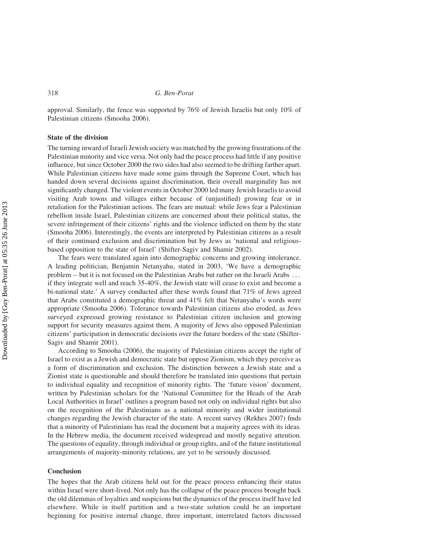approval. Similarly, the fence was supported by 76% of Jewish Israelis but only 10% of Palestinian citizens (Smooha 2006).

## State of the division

The turning inward of Israeli Jewish society was matched by the growing frustrations of the Palestinian minority and vice versa. Not only had the peace process had little if any positive influence, but since October 2000 the two sides had also seemed to be drifting farther apart. While Palestinian citizens have made some gains through the Supreme Court, which has handed down several decisions against discrimination, their overall marginality has not significantly changed. The violent events in October 2000 led many Jewish Israelis to avoid visiting Arab towns and villages either because of (unjustified) growing fear or in retaliation for the Palestinian actions. The fears are mutual: while Jews fear a Palestinian rebellion inside Israel, Palestinian citizens are concerned about their political status, the severe infringement of their citizens' rights and the violence inflicted on them by the state (Smooha 2006). Interestingly, the events are interpreted by Palestinian citizens as a result of their continued exclusion and discrimination but by Jews as 'national and religiousbased opposition to the state of Israel' (Shifter-Sagiv and Shamir 2002).

The fears were translated again into demographic concerns and growing intolerance. A leading politician, Benjamin Netanyahu, stated in 2003, 'We have a demographic problem – but it is not focused on the Palestinian Arabs but rather on the Israeli Arabs ... if they integrate well and reach 35-40%, the Jewish state will cease to exist and become a bi-national state.' A survey conducted after these words found that 71% of Jews agreed that Arabs constituted a demographic threat and 41% felt that Netanyahu's words were appropriate (Smooha 2006). Tolerance towards Palestinian citizens also eroded, as Jews surveyed expressed growing resistance to Palestinian citizen inclusion and growing support for security measures against them. A majority of Jews also opposed Palestinian citizens' participation in democratic decisions over the future borders of the state (Shifter-Sagiv and Shamir 2001).

According to Smooha (2006), the majority of Palestinian citizens accept the right of Israel to exist as a Jewish and democratic state but oppose Zionism, which they perceive as a form of discrimination and exclusion. The distinction between a Jewish state and a Zionist state is questionable and should therefore be translated into questions that pertain to individual equality and recognition of minority rights. The 'future vision' document, written by Palestinian scholars for the 'National Committee for the Heads of the Arab Local Authorities in Israel' outlines a program based not only on individual rights but also on the recognition of the Palestinians as a national minority and wider institutional changes regarding the Jewish character of the state. A recent survey (Rekhes 2007) finds that a minority of Palestinians has read the document but a majority agrees with its ideas. In the Hebrew media, the document received widespread and mostly negative attention. The questions of equality, through individual or group rights, and of the future institutional arrangements of majority-minority relations, are yet to be seriously discussed.

#### **Conclusion**

The hopes that the Arab citizens held out for the peace process enhancing their status within Israel were short-lived. Not only has the collapse of the peace process brought back the old dilemmas of loyalties and suspicions but the dynamics of the process itself have led elsewhere. While in itself partition and a two-state solution could be an important beginning for positive internal change, three important, interrelated factors discussed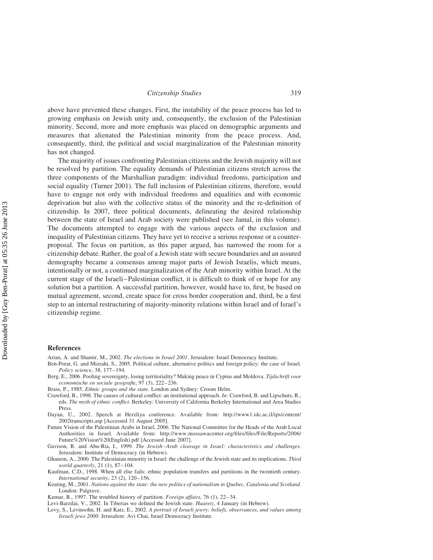above have prevented these changes. First, the instability of the peace process has led to growing emphasis on Jewish unity and, consequently, the exclusion of the Palestinian minority. Second, more and more emphasis was placed on demographic arguments and measures that alienated the Palestinian minority from the peace process. And, consequently, third, the political and social marginalization of the Palestinian minority has not changed.

The majority of issues confronting Palestinian citizens and the Jewish majority will not be resolved by partition. The equality demands of Palestinian citizens stretch across the three components of the Marshallian paradigm: individual freedoms, participation and social equality (Turner 2001). The full inclusion of Palestinian citizens, therefore, would have to engage not only with individual freedoms and equalities and with economic deprivation but also with the collective status of the minority and the re-definition of citizenship. In 2007, three political documents, delineating the desired relationship between the state of Israel and Arab society were published (see Jamal, in this volume). The documents attempted to engage with the various aspects of the exclusion and inequality of Palestinian citizens. They have yet to receive a serious response or a counterproposal. The focus on partition, as this paper argued, has narrowed the room for a citizenship debate. Rather, the goal of a Jewish state with secure boundaries and an assured demography became a consensus among major parts of Jewish Israelis, which means, intentionally or not, a continued marginalization of the Arab minority within Israel. At the current stage of the Israeli –Palestinian conflict, it is difficult to think of or hope for any solution but a partition. A successful partition, however, would have to, first, be based on mutual agreement, second, create space for cross border cooperation and, third, be a first step to an internal restructuring of majority-minority relations within Israel and of Israel's citizenship regime.

#### References

Arian, A. and Shamir, M., 2002. The elections in Israel 2001. Jerusalem: Israel Democracy Institute.

- Ben-Porat, G. and Mizrahi, S., 2005. Political culture, alternative politics and foreign policy: the case of Israel. Policy science, 38, 177 –194.
- Berg, E., 2006. Pooling sovereignty, losing territoriality? Making peace in Cyprus and Moldova. Tijdschrift voor economische en sociale geografie, 97 (3), 222 –236.
- Brass, P., 1985. Ethnic groups and the state. London and Sydney: Croom Helm.
- Crawford, B., 1998. The causes of cultural conflict: an institutional approach. In: Crawford, B. and Lipschutz, R., eds. The myth of ethnic conflict. Berkeley: University of California Berkeley International and Area Studies Press.
- Dayan, U., 2002. Speech at Herzliya conference. Available from: http://www1.idc.ac.il/ips/content/ 2002transcripts.asp [Accessed 31 August 2005].
- Future Vision of the Palestinian Arabs in Israel, 2006. The National Committee for the Heads of the Arab Local Authorities in Israel. Available from: http://www.mossawacenter.org/files/files/File/Reports/2006/ Future%20Vision%20(English).pdf [Accessed June 2007].
- Gavison, R. and Abu-Ria, I., 1999. The Jewish-Arab cleavage in Israel: characteristics and challenges. Jerusalem: Institute of Democracy (in Hebrew).
- Ghanem, A., 2000. The Palestinian minority in Israel: the challenge of the Jewish state and its implications. Third world quarterly, 21 (1), 87-104.

Kaufman, C.D., 1998. When all else fails: ethnic population transfers and partitions in the twentieth century. International security, 23 (2), 120–156.

- Keating, M., 2001. Nations against the state: the new politics of nationalism in Quebec, Catalonia and Scotland. London: Palgrave.
- Kumar, R., 1997. The troubled history of partition. Foreign affairs, 76 (1), 22-34.

Levi-Barzilai, V., 2002. In Tiberias we defined the Jewish state. *Haaretz*, 4 January (in Hebrew).

Levy, S., Levinsohn, H. and Katz, E., 2002. A portrait of Israeli jewry: beliefs, observances, and values among Israeli jews 2000. Jerusalem: Avi Chai, Israel Democracy Institute.